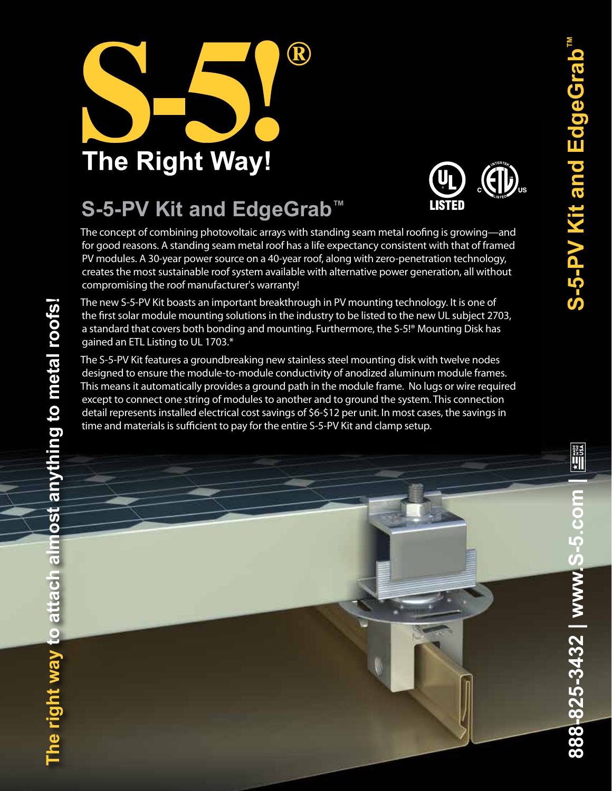

## **S-5-PV Kit and EdgeGrab™**



The concept of combining photovoltaic arrays with standing seam metal roofing is growing—and for good reasons. A standing seam metal roof has a life expectancy consistent with that of framed PV modules. A 30-year power source on a 40-year roof, along with zero-penetration technology, creates the most sustainable roof system available with alternative power generation, all without compromising the roof manufacturer's warranty!

The new S-5-PV Kit boasts an important breakthrough in PV mounting technology. It is one of the first solar module mounting solutions in the industry to be listed to the new UL subject 2703, a standard that covers both bonding and mounting. Furthermore, the S-5!® Mounting Disk has gained an ETL Listing to UL 1703.\*

The S-5-PV Kit features a groundbreaking new stainless steel mounting disk with twelve nodes designed to ensure the module-to-module conductivity of anodized aluminum module frames. This means it automatically provides a ground path in the module frame. No lugs or wire required except to connect one string of modules to another and to ground the system. This connection detail represents installed electrical cost savings of \$6-\$12 per unit. In most cases, the savings in time and materials is sufficient to pay for the entire S-5-PV Kit and clamp setup.